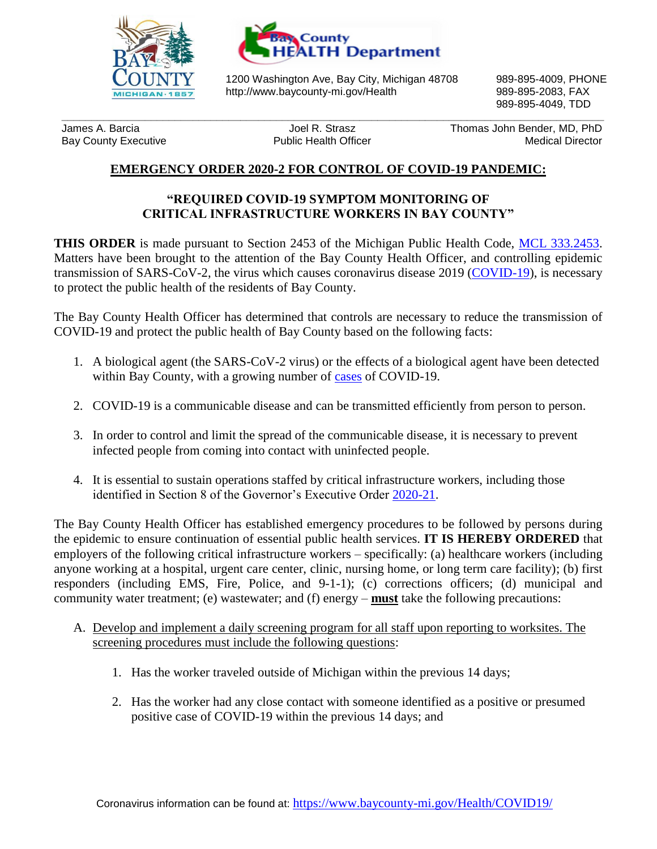



1200 Washington Ave, Bay City, Michigan 48708 989-895-4009, PHONE http://www.baycounty-mi.gov/Health 989-895-2083, FAX

**\_\_\_\_\_\_\_\_\_\_\_\_\_\_\_\_\_\_\_\_\_\_\_\_\_\_\_\_\_\_\_\_\_\_\_\_\_\_\_\_\_\_\_\_\_\_\_\_\_\_\_\_\_\_\_\_\_\_\_\_\_\_\_\_\_\_\_\_\_\_\_\_\_\_\_\_\_\_\_\_\_\_\_\_\_\_\_\_\_\_\_**

989-895-4049, TDD

James A. Barcia Joel R. Strasz Thomas John Bender, MD, PhD Bay County Executive **Medical Director** Public Health Officer **Medical Director** Medical Director

## **EMERGENCY ORDER 2020-2 FOR CONTROL OF COVID-19 PANDEMIC:**

## **"REQUIRED COVID-19 SYMPTOM MONITORING OF CRITICAL INFRASTRUCTURE WORKERS IN BAY COUNTY"**

**THIS ORDER** is made pursuant to Section 2453 of the Michigan Public Health Code, [MCL 333.2453.](http://www.legislature.mi.gov/(S(brgarfjgo0bc3n2w0ti3bcnu))/mileg.aspx?page=GetObject&objectname=mcl-333-2453) Matters have been brought to the attention of the Bay County Health Officer, and controlling epidemic transmission of SARS-CoV-2, the virus which causes coronavirus disease 2019 [\(COVID-19\)](https://www.cdc.gov/coronavirus/2019-ncov/faq.html), is necessary to protect the public health of the residents of Bay County.

The Bay County Health Officer has determined that controls are necessary to reduce the transmission of COVID-19 and protect the public health of Bay County based on the following facts:

- 1. A biological agent (the SARS-CoV-2 virus) or the effects of a biological agent have been detected within Bay County, with a growing number of [cases](https://emhsd.maps.arcgis.com/apps/opsdashboard/index.html#/ea9fb6d9caaa4937995113dbd5d0a87a) of COVID-19.
- 2. COVID-19 is a communicable disease and can be transmitted efficiently from person to person.
- 3. In order to control and limit the spread of the communicable disease, it is necessary to prevent infected people from coming into contact with uninfected people.
- 4. It is essential to sustain operations staffed by critical infrastructure workers, including those identified in Section 8 of the Governor's Executive Order [2020-21.](https://www.michigan.gov/whitmer/0,9309,7-387-90499_90705-522626--,00.html)

The Bay County Health Officer has established emergency procedures to be followed by persons during the epidemic to ensure continuation of essential public health services. **IT IS HEREBY ORDERED** that employers of the following critical infrastructure workers – specifically: (a) healthcare workers (including anyone working at a hospital, urgent care center, clinic, nursing home, or long term care facility); (b) first responders (including EMS, Fire, Police, and 9-1-1); (c) corrections officers; (d) municipal and community water treatment; (e) wastewater; and (f) energy – **must** take the following precautions:

- A. Develop and implement a daily screening program for all staff upon reporting to worksites. The screening procedures must include the following questions:
	- 1. Has the worker traveled outside of Michigan within the previous 14 days;
	- 2. Has the worker had any close contact with someone identified as a positive or presumed positive case of COVID-19 within the previous 14 days; and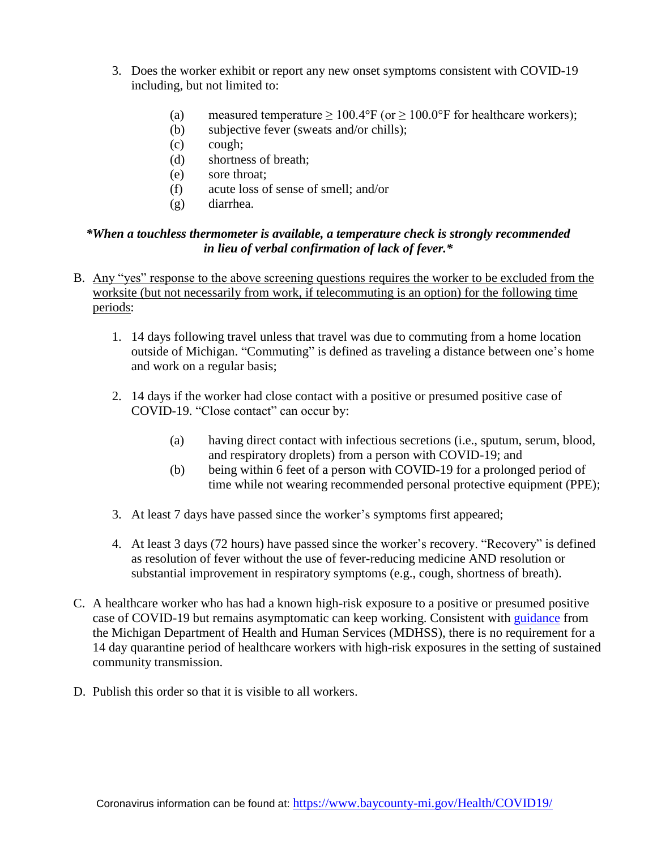- 3. Does the worker exhibit or report any new onset symptoms consistent with COVID-19 including, but not limited to:
	- (a) measured temperature  $\geq 100.4$ °F (or  $\geq 100.0$ °F for healthcare workers);
	- (b) subjective fever (sweats and/or chills);
	- (c) cough;
	- (d) shortness of breath;
	- (e) sore throat;
	- (f) acute loss of sense of smell; and/or
	- (g) diarrhea.

## *\*When a touchless thermometer is available, a temperature check is strongly recommended in lieu of verbal confirmation of lack of fever.\**

- B. Any "yes" response to the above screening questions requires the worker to be excluded from the worksite (but not necessarily from work, if telecommuting is an option) for the following time periods:
	- 1. 14 days following travel unless that travel was due to commuting from a home location outside of Michigan. "Commuting" is defined as traveling a distance between one's home and work on a regular basis;
	- 2. 14 days if the worker had close contact with a positive or presumed positive case of COVID-19. "Close contact" can occur by:
		- (a) having direct contact with infectious secretions (i.e., sputum, serum, blood, and respiratory droplets) from a person with COVID-19; and
		- (b) being within 6 feet of a person with COVID-19 for a prolonged period of time while not wearing recommended personal protective equipment (PPE);
	- 3. At least 7 days have passed since the worker's symptoms first appeared;
	- 4. At least 3 days (72 hours) have passed since the worker's recovery. "Recovery" is defined as resolution of fever without the use of fever-reducing medicine AND resolution or substantial improvement in respiratory symptoms (e.g., cough, shortness of breath).
- C. A healthcare worker who has had a known high-risk exposure to a positive or presumed positive case of COVID-19 but remains asymptomatic can keep working. Consistent with [guidance](https://www.michigan.gov/documents/coronavirus/Interim_HCP_Guidance_03.21.2020_684474_7.pdf) from the Michigan Department of Health and Human Services (MDHSS), there is no requirement for a 14 day quarantine period of healthcare workers with high-risk exposures in the setting of sustained community transmission.
- D. Publish this order so that it is visible to all workers.